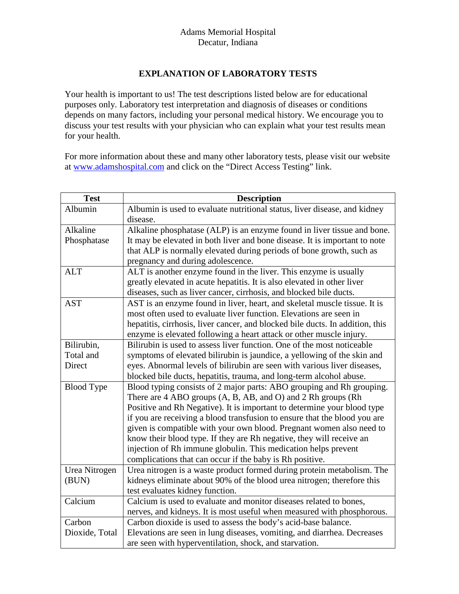## Adams Memorial Hospital Decatur, Indiana

## **EXPLANATION OF LABORATORY TESTS**

Your health is important to us! The test descriptions listed below are for educational purposes only. Laboratory test interpretation and diagnosis of diseases or conditions depends on many factors, including your personal medical history. We encourage you to discuss your test results with your physician who can explain what your test results mean for your health.

For more information about these and many other laboratory tests, please visit our website at [www.adamshospital.com](http://www.adamshospital.com/) and click on the "Direct Access Testing" link.

| <b>Test</b>       | <b>Description</b>                                                                    |
|-------------------|---------------------------------------------------------------------------------------|
| Albumin           | Albumin is used to evaluate nutritional status, liver disease, and kidney<br>disease. |
| Alkaline          | Alkaline phosphatase (ALP) is an enzyme found in liver tissue and bone.               |
| Phosphatase       | It may be elevated in both liver and bone disease. It is important to note            |
|                   | that ALP is normally elevated during periods of bone growth, such as                  |
|                   | pregnancy and during adolescence.                                                     |
| <b>ALT</b>        | ALT is another enzyme found in the liver. This enzyme is usually                      |
|                   | greatly elevated in acute hepatitis. It is also elevated in other liver               |
|                   | diseases, such as liver cancer, cirrhosis, and blocked bile ducts.                    |
| <b>AST</b>        | AST is an enzyme found in liver, heart, and skeletal muscle tissue. It is             |
|                   | most often used to evaluate liver function. Elevations are seen in                    |
|                   | hepatitis, cirrhosis, liver cancer, and blocked bile ducts. In addition, this         |
|                   | enzyme is elevated following a heart attack or other muscle injury.                   |
| Bilirubin,        | Bilirubin is used to assess liver function. One of the most noticeable                |
| Total and         | symptoms of elevated bilirubin is jaundice, a yellowing of the skin and               |
| Direct            | eyes. Abnormal levels of bilirubin are seen with various liver diseases,              |
|                   | blocked bile ducts, hepatitis, trauma, and long-term alcohol abuse.                   |
| <b>Blood Type</b> | Blood typing consists of 2 major parts: ABO grouping and Rh grouping.                 |
|                   | There are 4 ABO groups (A, B, AB, and O) and 2 Rh groups (Rh                          |
|                   | Positive and Rh Negative). It is important to determine your blood type               |
|                   | if you are receiving a blood transfusion to ensure that the blood you are             |
|                   | given is compatible with your own blood. Pregnant women also need to                  |
|                   | know their blood type. If they are Rh negative, they will receive an                  |
|                   | injection of Rh immune globulin. This medication helps prevent                        |
|                   | complications that can occur if the baby is Rh positive.                              |
| Urea Nitrogen     | Urea nitrogen is a waste product formed during protein metabolism. The                |
| (BUN)             | kidneys eliminate about 90% of the blood urea nitrogen; therefore this                |
|                   | test evaluates kidney function.                                                       |
| Calcium           | Calcium is used to evaluate and monitor diseases related to bones,                    |
|                   | nerves, and kidneys. It is most useful when measured with phosphorous.                |
| Carbon            | Carbon dioxide is used to assess the body's acid-base balance.                        |
| Dioxide, Total    | Elevations are seen in lung diseases, vomiting, and diarrhea. Decreases               |
|                   | are seen with hyperventilation, shock, and starvation.                                |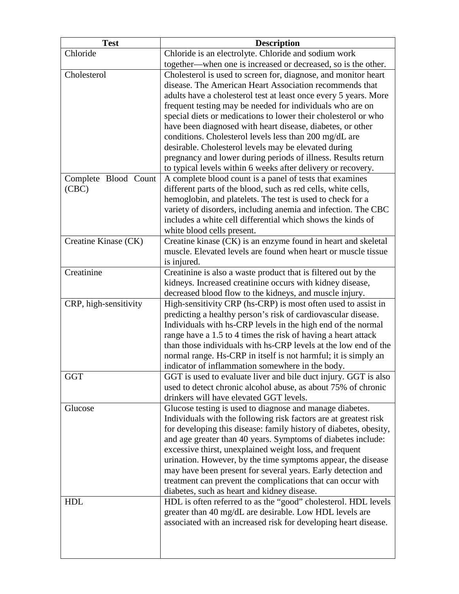| <b>Test</b>           | <b>Description</b>                                                                                                       |
|-----------------------|--------------------------------------------------------------------------------------------------------------------------|
| Chloride              | Chloride is an electrolyte. Chloride and sodium work                                                                     |
|                       | together—when one is increased or decreased, so is the other.                                                            |
| Cholesterol           | Cholesterol is used to screen for, diagnose, and monitor heart                                                           |
|                       | disease. The American Heart Association recommends that                                                                  |
|                       | adults have a cholesterol test at least once every 5 years. More                                                         |
|                       | frequent testing may be needed for individuals who are on                                                                |
|                       | special diets or medications to lower their cholesterol or who                                                           |
|                       | have been diagnosed with heart disease, diabetes, or other                                                               |
|                       | conditions. Cholesterol levels less than 200 mg/dL are                                                                   |
|                       | desirable. Cholesterol levels may be elevated during                                                                     |
|                       | pregnancy and lower during periods of illness. Results return                                                            |
|                       | to typical levels within 6 weeks after delivery or recovery.                                                             |
| Complete Blood Count  | A complete blood count is a panel of tests that examines                                                                 |
| (CBC)                 | different parts of the blood, such as red cells, white cells,                                                            |
|                       | hemoglobin, and platelets. The test is used to check for a                                                               |
|                       | variety of disorders, including anemia and infection. The CBC                                                            |
|                       | includes a white cell differential which shows the kinds of                                                              |
|                       | white blood cells present.                                                                                               |
| Creatine Kinase (CK)  | Creatine kinase (CK) is an enzyme found in heart and skeletal                                                            |
|                       | muscle. Elevated levels are found when heart or muscle tissue                                                            |
|                       | is injured.                                                                                                              |
| Creatinine            | Creatinine is also a waste product that is filtered out by the                                                           |
|                       | kidneys. Increased creatinine occurs with kidney disease,                                                                |
| CRP, high-sensitivity | decreased blood flow to the kidneys, and muscle injury.<br>High-sensitivity CRP (hs-CRP) is most often used to assist in |
|                       | predicting a healthy person's risk of cardiovascular disease.                                                            |
|                       | Individuals with hs-CRP levels in the high end of the normal                                                             |
|                       | range have a 1.5 to 4 times the risk of having a heart attack                                                            |
|                       | than those individuals with hs-CRP levels at the low end of the                                                          |
|                       | normal range. Hs-CRP in itself is not harmful; it is simply an                                                           |
|                       | indicator of inflammation somewhere in the body.                                                                         |
| <b>GGT</b>            | GGT is used to evaluate liver and bile duct injury. GGT is also                                                          |
|                       | used to detect chronic alcohol abuse, as about 75% of chronic                                                            |
|                       | drinkers will have elevated GGT levels.                                                                                  |
| Glucose               | Glucose testing is used to diagnose and manage diabetes.                                                                 |
|                       | Individuals with the following risk factors are at greatest risk                                                         |
|                       | for developing this disease: family history of diabetes, obesity,                                                        |
|                       | and age greater than 40 years. Symptoms of diabetes include:                                                             |
|                       | excessive thirst, unexplained weight loss, and frequent                                                                  |
|                       | urination. However, by the time symptoms appear, the disease                                                             |
|                       | may have been present for several years. Early detection and                                                             |
|                       | treatment can prevent the complications that can occur with                                                              |
|                       | diabetes, such as heart and kidney disease.                                                                              |
| <b>HDL</b>            | HDL is often referred to as the "good" cholesterol. HDL levels                                                           |
|                       | greater than 40 mg/dL are desirable. Low HDL levels are                                                                  |
|                       | associated with an increased risk for developing heart disease.                                                          |
|                       |                                                                                                                          |
|                       |                                                                                                                          |
|                       |                                                                                                                          |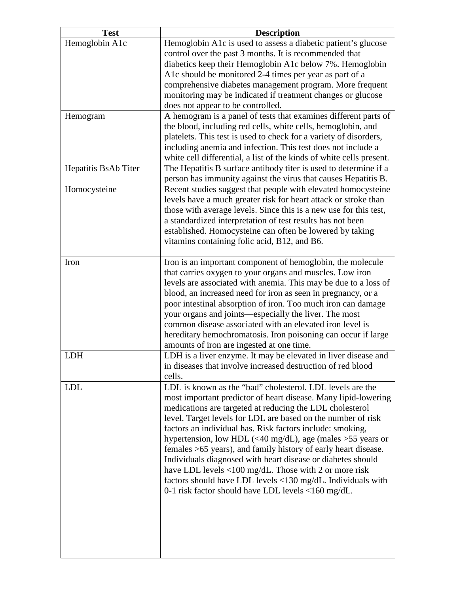| <b>Test</b>          | <b>Description</b>                                                                                                              |
|----------------------|---------------------------------------------------------------------------------------------------------------------------------|
| Hemoglobin A1c       | Hemoglobin A1c is used to assess a diabetic patient's glucose                                                                   |
|                      | control over the past 3 months. It is recommended that                                                                          |
|                      | diabetics keep their Hemoglobin A1c below 7%. Hemoglobin                                                                        |
|                      | A1c should be monitored 2-4 times per year as part of a                                                                         |
|                      | comprehensive diabetes management program. More frequent                                                                        |
|                      | monitoring may be indicated if treatment changes or glucose                                                                     |
|                      | does not appear to be controlled.                                                                                               |
| Hemogram             | A hemogram is a panel of tests that examines different parts of                                                                 |
|                      | the blood, including red cells, white cells, hemoglobin, and                                                                    |
|                      | platelets. This test is used to check for a variety of disorders,                                                               |
|                      | including anemia and infection. This test does not include a                                                                    |
|                      | white cell differential, a list of the kinds of white cells present.                                                            |
| Hepatitis BsAb Titer | The Hepatitis B surface antibody titer is used to determine if a                                                                |
|                      | person has immunity against the virus that causes Hepatitis B.                                                                  |
| Homocysteine         | Recent studies suggest that people with elevated homocysteine                                                                   |
|                      | levels have a much greater risk for heart attack or stroke than                                                                 |
|                      | those with average levels. Since this is a new use for this test,<br>a standardized interpretation of test results has not been |
|                      | established. Homocysteine can often be lowered by taking                                                                        |
|                      | vitamins containing folic acid, B12, and B6.                                                                                    |
|                      |                                                                                                                                 |
| Iron                 | Iron is an important component of hemoglobin, the molecule                                                                      |
|                      | that carries oxygen to your organs and muscles. Low iron                                                                        |
|                      | levels are associated with anemia. This may be due to a loss of                                                                 |
|                      | blood, an increased need for iron as seen in pregnancy, or a                                                                    |
|                      | poor intestinal absorption of iron. Too much iron can damage                                                                    |
|                      | your organs and joints—especially the liver. The most                                                                           |
|                      | common disease associated with an elevated iron level is                                                                        |
|                      | hereditary hemochromatosis. Iron poisoning can occur if large                                                                   |
|                      | amounts of iron are ingested at one time.                                                                                       |
| <b>LDH</b>           | LDH is a liver enzyme. It may be elevated in liver disease and                                                                  |
|                      | in diseases that involve increased destruction of red blood                                                                     |
|                      | cells.                                                                                                                          |
| <b>LDL</b>           | LDL is known as the "bad" cholesterol. LDL levels are the                                                                       |
|                      | most important predictor of heart disease. Many lipid-lowering<br>medications are targeted at reducing the LDL cholesterol      |
|                      | level. Target levels for LDL are based on the number of risk                                                                    |
|                      | factors an individual has. Risk factors include: smoking,                                                                       |
|                      | hypertension, low HDL (<40 mg/dL), age (males >55 years or                                                                      |
|                      | females >65 years), and family history of early heart disease.                                                                  |
|                      | Individuals diagnosed with heart disease or diabetes should                                                                     |
|                      | have LDL levels $\langle 100 \text{ mg/dL}$ . Those with 2 or more risk                                                         |
|                      | factors should have LDL levels <130 mg/dL. Individuals with                                                                     |
|                      | 0-1 risk factor should have LDL levels <160 mg/dL.                                                                              |
|                      |                                                                                                                                 |
|                      |                                                                                                                                 |
|                      |                                                                                                                                 |
|                      |                                                                                                                                 |
|                      |                                                                                                                                 |
|                      |                                                                                                                                 |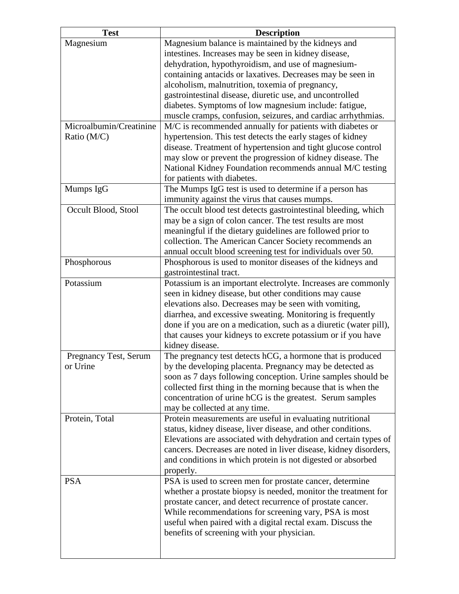| <b>Test</b>             | <b>Description</b>                                                |
|-------------------------|-------------------------------------------------------------------|
| Magnesium               | Magnesium balance is maintained by the kidneys and                |
|                         | intestines. Increases may be seen in kidney disease,              |
|                         | dehydration, hypothyroidism, and use of magnesium-                |
|                         | containing antacids or laxatives. Decreases may be seen in        |
|                         | alcoholism, malnutrition, toxemia of pregnancy,                   |
|                         | gastrointestinal disease, diuretic use, and uncontrolled          |
|                         | diabetes. Symptoms of low magnesium include: fatigue,             |
|                         | muscle cramps, confusion, seizures, and cardiac arrhythmias.      |
| Microalbumin/Creatinine | M/C is recommended annually for patients with diabetes or         |
| Ratio (M/C)             | hypertension. This test detects the early stages of kidney        |
|                         | disease. Treatment of hypertension and tight glucose control      |
|                         | may slow or prevent the progression of kidney disease. The        |
|                         | National Kidney Foundation recommends annual M/C testing          |
|                         | for patients with diabetes.                                       |
| Mumps IgG               | The Mumps IgG test is used to determine if a person has           |
|                         | immunity against the virus that causes mumps.                     |
| Occult Blood, Stool     | The occult blood test detects gastrointestinal bleeding, which    |
|                         | may be a sign of colon cancer. The test results are most          |
|                         | meaningful if the dietary guidelines are followed prior to        |
|                         | collection. The American Cancer Society recommends an             |
|                         | annual occult blood screening test for individuals over 50.       |
| Phosphorous             | Phosphorous is used to monitor diseases of the kidneys and        |
|                         | gastrointestinal tract.                                           |
| Potassium               | Potassium is an important electrolyte. Increases are commonly     |
|                         | seen in kidney disease, but other conditions may cause            |
|                         | elevations also. Decreases may be seen with vomiting,             |
|                         | diarrhea, and excessive sweating. Monitoring is frequently        |
|                         | done if you are on a medication, such as a diuretic (water pill), |
|                         | that causes your kidneys to excrete potassium or if you have      |
|                         | kidney disease.                                                   |
| Pregnancy Test, Serum   | The pregnancy test detects hCG, a hormone that is produced        |
| or Urine                | by the developing placenta. Pregnancy may be detected as          |
|                         | soon as 7 days following conception. Urine samples should be      |
|                         | collected first thing in the morning because that is when the     |
|                         | concentration of urine hCG is the greatest. Serum samples         |
|                         | may be collected at any time.                                     |
| Protein, Total          | Protein measurements are useful in evaluating nutritional         |
|                         | status, kidney disease, liver disease, and other conditions.      |
|                         | Elevations are associated with dehydration and certain types of   |
|                         | cancers. Decreases are noted in liver disease, kidney disorders,  |
|                         | and conditions in which protein is not digested or absorbed       |
|                         | properly.                                                         |
| <b>PSA</b>              | PSA is used to screen men for prostate cancer, determine          |
|                         | whether a prostate biopsy is needed, monitor the treatment for    |
|                         | prostate cancer, and detect recurrence of prostate cancer.        |
|                         | While recommendations for screening vary, PSA is most             |
|                         | useful when paired with a digital rectal exam. Discuss the        |
|                         | benefits of screening with your physician.                        |
|                         |                                                                   |
|                         |                                                                   |